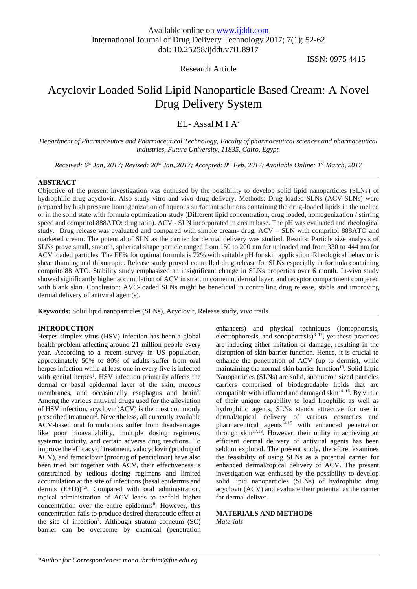Research Article

ISSN: 0975 4415

# Acyclovir Loaded Solid Lipid Nanoparticle Based Cream: A Novel Drug Delivery System

# EL- Assal M I A\*

*Department of Pharmaceutics and Pharmaceutical Technology, Faculty of pharmaceutical sciences and pharmaceutical industries, Future University, 11835, Cairo, Egypt.*

*Received: 6th Jan, 2017; Revised: 20th Jan, 2017; Accepted: 9th Feb, 2017; Available Online: 1st March, 2017*

### **ABSTRACT**

Objective of the present investigation was enthused by the possibility to develop solid lipid nanoparticles (SLNs) of hydrophilic drug acyclovir. Also study vitro and vivo drug delivery. Methods: Drug loaded SLNs (ACV-SLNs) were prepared by high pressure homogenization of aqueous surfactant solutions containing the drug-loaded lipids in the melted or in the solid state with formula optimization study (Different lipid concentration, drug loaded, homogenization / stirring speed and compritol 888ATO: drug ratio). ACV - SLN incorporated in cream base. The pH was evaluated and rheological study. Drug release was evaluated and compared with simple cream- drug, ACV – SLN with compritol 888ATO and marketed cream. The potential of SLN as the carrier for dermal delivery was studied. Results: Particle size analysis of SLNs prove small, smooth, spherical shape particle ranged from 150 to 200 nm for unloaded and from 330 to 444 nm for ACV loaded particles. The EE% for optimal formula is 72% with suitable pH for skin application. Rheological behavior is shear thinning and thixotropic. Release study proved controlled drug release for SLNs especially in formula containing compritol88 ATO. Stability study emphasized an insignificant change in SLNs properties over 6 month. In-vivo study showed significantly higher accumulation of ACV in stratum corneum, dermal layer, and receptor compartment compared with blank skin. Conclusion: AVC-loaded SLNs might be beneficial in controlling drug release, stable and improving dermal delivery of antiviral agent(s).

**Keywords:** Solid lipid nanoparticles (SLNs), Acyclovir, Release study, vivo trails.

#### **INTRODUCTION**

Herpes simplex virus (HSV) infection has been a global health problem affecting around 21 million people every year. According to a recent survey in US population, approximately 50% to 80% of adults suffer from oral herpes infection while at least one in every five is infected with genital herpes<sup>1</sup>. HSV infection primarily affects the dermal or basal epidermal layer of the skin, mucous membranes, and occasionally esophagus and brain<sup>2</sup>. Among the various antiviral drugs used for the alleviation of HSV infection, acyclovir (ACV) is the most commonly prescribed treatment<sup>3</sup>. Nevertheless, all currently available ACV-based oral formulations suffer from disadvantages like poor bioavailability, multiple dosing regimens, systemic toxicity, and certain adverse drug reactions. To improve the efficacy of treatment, valacyclovir (prodrug of ACV), and famciclovir (prodrug of penciclovir) have also been tried but together with ACV, their effectiveness is constrained by tedious dosing regimens and limited accumulation at the site of infections (basal epidermis and dermis  $(E+D)^{4,5}$ . Compared with oral administration, topical administration of ACV leads to tenfold higher concentration over the entire epidermis<sup>6</sup>. However, this concentration fails to produce desired therapeutic effect at the site of infection<sup>7</sup>. Although stratum corneum  $(SC)$ barrier can be overcome by chemical (penetration enhancers) and physical techniques (iontophoresis, electrophoresis, and sonophoresis) $8-12$ , yet these practices are inducing either irritation or damage, resulting in the disruption of skin barrier function. Hence, it is crucial to enhance the penetration of ACV (up to dermis), while maintaining the normal skin barrier function<sup>13</sup>. Solid Lipid Nanoparticles (SLNs) are solid, submicron sized particles carriers comprised of biodegradable lipids that are compatible with inflamed and damaged skin<sup>14–16</sup>. By virtue of their unique capability to load lipophilic as well as hydrophilic agents, SLNs stands attractive for use in dermal/topical delivery of various cosmetics and  $pharmaceltical agents<sup>14,15</sup> with enhanced penetration$ through skin<sup>17,18</sup>. However, their utility in achieving an efficient dermal delivery of antiviral agents has been seldom explored. The present study, therefore, examines the feasibility of using SLNs as a potential carrier for enhanced dermal/topical delivery of ACV. The present investigation was enthused by the possibility to develop solid lipid nanoparticles (SLNs) of hydrophilic drug acyclovir (ACV) and evaluate their potential as the carrier for dermal deliver.

### **MATERIALS AND METHODS**

*Materials*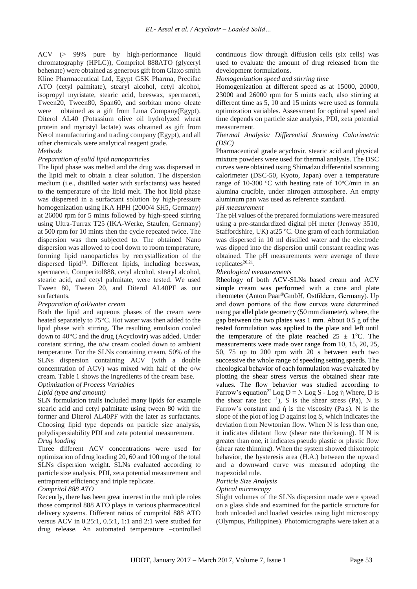ACV (> 99% pure by high-performance liquid chromatography (HPLC)), Compritol 888ATO (glyceryl behenate) were obtained as generous gift from Glaxo smith Kline Pharmaceutical Ltd, Egypt GSK Pharma, Precifac ATO (cetyl palmitate), stearyl alcohol, cetyl alcohol, isopropyl myristate, stearic acid, beeswax, spermaceti, Tween20, Tween80, Span60, and sorbitan mono oleate were obtained as a gift from Luna Company(Egypt). Diterol AL40 (Potassium olive oil hydrolyzed wheat protein and myristyl lactate) was obtained as gift from Nerol manufacturing and trading company (Egypt), and all other chemicals were analytical reagent grade.

#### *Methods*

#### *Preparation of solid lipid nanoparticles*

The lipid phase was melted and the drug was dispersed in the lipid melt to obtain a clear solution. The dispersion medium (i.e., distilled water with surfactants) was heated to the temperature of the lipid melt. The hot lipid phase was dispersed in a surfactant solution by high-pressure homogenization using IKA HPH (2000/4 SH5, Germany) at 26000 rpm for 5 mints followed by high-speed stirring using Ultra-Turrax T25 (IKA-Werke, Staufen, Germany) at 500 rpm for 10 mints then the cycle repeated twice. The dispersion was then subjected to. The obtained Nano dispersion was allowed to cool down to room temperature, forming lipid nanoparticles by recrystallization of the dispersed lipid<sup>19</sup>. Different lipids, including beeswax, spermaceti, Comperitol888, cetyl alcohol, stearyl alcohol, stearic acid, and cetyl palmitate, were tested. We used Tween 80, Tween 20, and Diterol AL40PF as our surfactants.

#### *Preparation of oil/water cream*

Both the lipid and aqueous phases of the cream were heated separately to 75°C. Hot water was then added to the lipid phase with stirring. The resulting emulsion cooled down to 40°C and the drug (Acyclovir) was added. Under constant stirring, the o/w cream cooled down to ambient temperature. For the SLNs containing cream, 50% of the SLNs dispersion containing ACV (with a double concentration of ACV) was mixed with half of the o/w cream. Table 1 shows the ingredients of the cream base.

#### *Optimization of Process Variables Lipid (type and amount)*

SLN formulation trails included many lipids for example stearic acid and cetyl palmitate using tween 80 with the former and Diterol AL40PF with the later as surfactants. Choosing lipid type depends on particle size analysis, polydispersiability PDI and zeta potential measurement. *Drug loading*

Three different ACV concentrations were used for optimization of drug loading 20, 60 and 100 mg of the total SLNs dispersion weight. SLNs evaluated according to particle size analysis, PDI, zeta potential measurement and entrapment efficiency and triple replicate.

#### *Compritol 888 ATO*

Recently, there has been great interest in the multiple roles those compritol 888 ATO plays in various pharmaceutical delivery systems. Different ratios of compritol 888 ATO versus ACV in 0.25:1, 0.5:1, 1:1 and 2:1 were studied for drug release. An automated temperature –controlled

continuous flow through diffusion cells (six cells) was used to evaluate the amount of drug released from the development formulations.

*Homogenization speed and stirring time* 

Homogenization at different speed as at 15000, 20000, 23000 and 26000 rpm for 5 mints each, also stirring at different time as 5, 10 and 15 mints were used as formula optimization variables. Assessment for optimal speed and time depends on particle size analysis, PDI, zeta potential measurement.

#### *Thermal Analysis: Differential Scanning Calorimetric (DSC)*

Pharmaceutical grade acyclovir, stearic acid and physical mixture powders were used for thermal analysis. The DSC curves were obtained using Shimadzu differential scanning calorimeter (DSC-50, Kyoto, Japan) over a temperature range of 10-300  $\degree$ C with heating rate of 10 $\degree$ C/min in an alumina crucible, under nitrogen atmosphere. An empty aluminum pan was used as reference standard.

#### *pH measurement*

The pH values of the prepared formulations were measured using a pre-standardized digital pH meter (Jenway 3510, Staffordshire, UK) at  $25^{\circ}$ C. One gram of each formulation was dispersed in 10 ml distilled water and the electrode was dipped into the dispersion until constant reading was obtained. The pH measurements were average of three replicates $20,21$ .

#### *Rheological measurements*

Rheology of both ACV-SLNs based cream and ACV simple cream was performed with a cone and plate rheometer (Anton Paar®GmbH, Ostfildern, Germany). Up and down portions of the flow curves were determined using parallel plate geometry (50 mm diameter), where, the gap between the two plates was 1 mm. About 0.5 g of the tested formulation was applied to the plate and left until the temperature of the plate reached  $25 \pm 1$ °C. The measurements were made over range from 10, 15, 20, 25, 50, 75 up to 200 rpm with 20 s between each two successive the whole range of speeding setting speeds. The rheological behavior of each formulation was evaluated by plotting the shear stress versus the obtained shear rate values. The flow behavior was studied according to Farrow's equation<sup>22</sup> Log D = N Log S - Log ὴ Where, D is the shear rate (sec  $^{-1}$ ), S is the shear stress (Pa), N is Farrow's constant and  $\hat{\eta}$  is the viscosity (Pa.s). N is the slope of the plot of log D against log S, which indicates the deviation from Newtonian flow. When N is less than one, it indicates dilatant flow (shear rate thickening). If N is greater than one, it indicates pseudo plastic or plastic flow (shear rate thinning). When the system showed thixotropic behavior, the hysteresis area (H.A.) between the upward and a downward curve was measured adopting the trapezoidal rule.

#### *Particle Size Analysis*

#### *Optical microscopy*

Slight volumes of the SLNs dispersion made were spread on a glass slide and examined for the particle structure for both unloaded and loaded vesicles using light microscopy (Olympus, Philippines). Photomicrographs were taken at a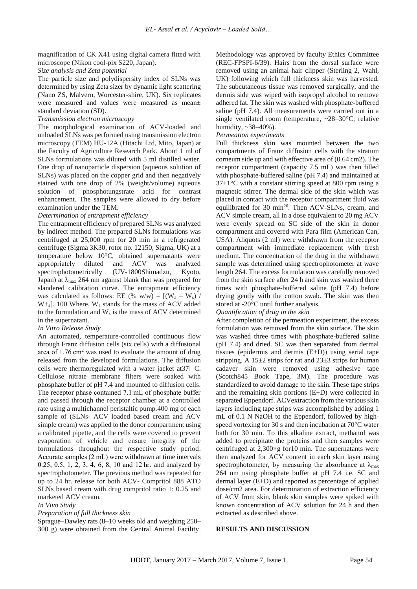magnification of CK X41 using digital camera fitted with microscope (Nikon cool-pix S220, Japan).

*Size analysis and Zeta potential*

#### The particle size and polydispersity index of SLNs was determined by using Zeta sizer by dynamic light scattering (Nano ZS, Malvern, Worcester-shire, UK). Six replicates were measured and values were measured as mean± standard deviation (SD).

#### *Transmission electron microscopy*

The morphological examination of ACV-loaded and unloaded SLNs was performed using transmission electron microscopy (TEM) HU-12A (Hitachi Ltd, Mito, Japan) at the Faculty of Agriculture Research Park. About 1 ml of SLNs formulations was diluted with 5 ml distilled water. One drop of nanoparticle dispersion (aqueous solution of SLNs) was placed on the copper grid and then negatively stained with one drop of 2% (weight/volume) aqueous solution of phosphotungstrate acid for contrast enhancement. The samples were allowed to dry before examination under the TEM.

#### *Determination of entrapment efficiency*

The entrapment efficiency of prepared SLNs was analyzed by indirect method. The prepared SLNs formulations was centrifuged at 25,000 rpm for 20 min in a refrigerated centrifuge (Sigma 3K30, rotor no. 12150, Sigma, UK) at a temperature below 10°C, obtained supernatants were appropriately diluted and ACV was analyzed spectrophotometrically (UV-1800Shimadzu, Kyoto, Japan) at  $\lambda_{\text{max}}$  264 nm against blank that was prepared for slandered calibration curve. The entrapment efficiency was calculated as follows: EE (% w/w) =  $[(W_a - W_s) /$  $W_{\pm a}$ ]. 100 Where,  $W_a$  stands for the mass of ACV added to the formulation and  $W_s$  is the mass of ACV determined in the supernatant.

#### *In Vitro Release Study*

An automated, temperature-controlled continuous flow through Franz diffusion cells (six cells) with a diffusional area of 1.76 cm<sup>2</sup> was used to evaluate the amount of drug released from the developed formulations. The diffusion cells were thermoregulated with a water jacket at  $37\degree$ C. Cellulose nitrate membrane filters were soaked with phosphate buffer of pH 7.4 and mounted to diffusion cells. The receptor phase contained 7.1 mL of phosphate buffer and passed through the receptor chamber at a controlled rate using a multichannel peristaltic pump.400 mg of each sample of (SLNs- ACV loaded based cream and ACV simple cream) was applied to the donor compartment using a calibrated pipette, and the cells were covered to prevent evaporation of vehicle and ensure integrity of the formulations throughout the respective study period. Accurate samples (2 mL) were withdrawn at time intervals 0.25, 0.5, 1, 2, 3, 4, 6, 8, 10 and 12 hr. and analyzed by spectrophotometer. The previous method was repeated for up to 24 hr. release for both ACV- Compritol 888 ATO SLNs based cream with drug compritol ratio 1: 0.25 and marketed ACV cream.

#### *In Vivo Study*

#### *Preparation of full thickness skin*

Sprague–Dawley rats (8–10 weeks old and weighing 250– 300 g) were obtained from the Central Animal Facility. Methodology was approved by faculty Ethics Committee (REC-FPSPI-6/39). Hairs from the dorsal surface were removed using an animal hair clipper (Sterling 2, Wahl, UK) following which full thickness skin was harvested. The subcutaneous tissue was removed surgically, and the dermis side was wiped with isopropyl alcohol to remove adhered fat. The skin was washed with phosphate-buffered saline (pH 7.4). All measurements were carried out in a single ventilated room (temperature, ~28–30°C; relative humidity,  $\sim$ 38–40%).

#### *Permeation experiments*

Full thickness skin was mounted between the two compartments of Franz diffusion cells with the stratum corneum side up and with effective area of (0.64 cm2). The receptor compartment (capacity 7.5 mL) was then filled with phosphate-buffered saline (pH 7.4) and maintained at  $37\pm1$ °C with a constant stirring speed at 800 rpm using a magnetic stirrer. The dermal side of the skin which was placed in contact with the receptor compartment fluid was equilibrated for 30 min<sup>26</sup>. Then ACV-SLNs, cream, and ACV simple cream, all in a dose equivalent to 20 mg ACV were evenly spread on SC side of the skin in donor compartment and covered with Para film (American Can, USA). Aliquots (2 ml) were withdrawn from the receptor compartment with immediate replacement with fresh medium. The concentration of the drug in the withdrawn sample was determined using spectrophotometer at wave length 264. The excess formulation was carefully removed from the skin surface after 24 h and skin was washed three times with phosphate-buffered saline (pH 7.4) before drying gently with the cotton swab. The skin was then stored at -20°C until further analysis.

#### *Quantification of drug in the skin*

After completion of the permeation experiment, the excess formulation was removed from the skin surface. The skin was washed three times with phosphate-buffered saline (pH 7.4) and dried. SC was then separated from dermal tissues (epidermis and dermis (E+D)) using serial tape stripping. A  $15\pm2$  strips for rat and  $23\pm3$  strips for human cadaver skin were removed using adhesive tape (Scotch845 Book Tape, 3M). The procedure was standardized to avoid damage to the skin. These tape strips and the remaining skin portions (E+D) were collected in separated Eppendorf. ACVextraction from the various skin layers including tape strips was accomplished by adding 1 mL of 0.1 N NaOH to the Eppendorf, followed by highspeed vortexing for 30 s and then incubation at 70°C water bath for 30 min. To this alkaline extract, methanol was added to precipitate the proteins and then samples were centrifuged at 2,300×g for10 min. The supernatants were then analyzed for ACV content in each skin layer using spectrophotometer, by measuring the absorbance at  $\lambda_{\text{max}}$ 264 nm using phosphate buffer at pH 7.4 i.e. SC and dermal layer (E+D) and reported as percentage of applied dose/cm2 area. For determination of extraction efficiency of ACV from skin, blank skin samples were spiked with known concentration of ACV solution for 24 h and then extracted as described above.

#### **RESULTS AND DISCUSSION**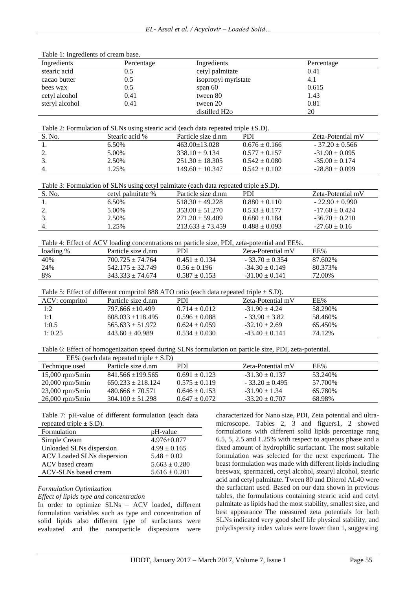| Table 1: Ingredients of cream base.                     |                                                                                                        |                                                            |                                                                |                                                          |                                                             |  |
|---------------------------------------------------------|--------------------------------------------------------------------------------------------------------|------------------------------------------------------------|----------------------------------------------------------------|----------------------------------------------------------|-------------------------------------------------------------|--|
| Ingredients                                             | Percentage                                                                                             |                                                            | Ingredients                                                    |                                                          | Percentage                                                  |  |
| stearic acid                                            | 0.5                                                                                                    |                                                            | cetyl palmitate                                                |                                                          | 0.41                                                        |  |
| cacao butter                                            | 0.5                                                                                                    |                                                            | isopropyl myristate                                            |                                                          | 4.1                                                         |  |
| bees wax                                                | 0.5                                                                                                    | span 60                                                    |                                                                |                                                          | 0.615                                                       |  |
| cetyl alcohol                                           | 0.41                                                                                                   | tween 80                                                   |                                                                |                                                          | 1.43                                                        |  |
| steryl alcohol                                          | 0.41                                                                                                   | tween 20                                                   |                                                                |                                                          | 0.81                                                        |  |
|                                                         |                                                                                                        |                                                            | distilled H <sub>20</sub>                                      |                                                          | 20                                                          |  |
|                                                         |                                                                                                        |                                                            |                                                                |                                                          |                                                             |  |
|                                                         | Table 2: Formulation of SLNs using stearic acid (each data repeated triple $\pm$ S.D).                 |                                                            |                                                                |                                                          |                                                             |  |
| S. No.                                                  | Stearic acid %                                                                                         | Particle size d.nm                                         |                                                                | PDI                                                      | Zeta-Potential mV                                           |  |
| 1.                                                      | 6.50%                                                                                                  | 463.00±13.028                                              |                                                                | $0.676 \pm 0.166$                                        | $-37.20 \pm 0.566$                                          |  |
| 2.                                                      | 5.00%                                                                                                  | $338.10 \pm 9.134$                                         |                                                                | $0.577 \pm 0.157$                                        | $-31.90 \pm 0.095$                                          |  |
| 3.                                                      | 2.50%                                                                                                  | $251.30 \pm 18.305$                                        |                                                                | $0.542 \pm 0.080$                                        | $-35.00 \pm 0.174$                                          |  |
| 4.                                                      | 1.25%                                                                                                  | $149.60 \pm 10.347$                                        |                                                                | $0.542 \pm 0.102$                                        | $-28.80 \pm 0.099$                                          |  |
|                                                         |                                                                                                        |                                                            |                                                                |                                                          |                                                             |  |
|                                                         | Table 3: Formulation of SLNs using cetyl palmitate (each data repeated triple $\pm$ S.D).              |                                                            |                                                                |                                                          |                                                             |  |
| S. No.                                                  | cetyl palmitate %                                                                                      | Particle size d.nm                                         |                                                                | <b>PDI</b>                                               | Zeta-Potential mV                                           |  |
| 1.                                                      | 6.50%                                                                                                  | $518.30 \pm 49.228$                                        |                                                                | $0.880 \pm 0.110$                                        | $-22.90 \pm 0.990$                                          |  |
| 2.                                                      | 5.00%                                                                                                  | $353.00 \pm 51.270$                                        |                                                                | $0.533 \pm 0.177$                                        | $-17.60 \pm 0.424$                                          |  |
| 3.                                                      | 2.50%                                                                                                  | $271.20 \pm 59.409$                                        |                                                                | $0.680 \pm 0.184$                                        | $-36.70 \pm 0.210$                                          |  |
| 4.                                                      | 1.25%                                                                                                  | $213.633 \pm 73.459$                                       |                                                                | $0.488 \pm 0.093$                                        | $-27.60 \pm 0.16$                                           |  |
|                                                         |                                                                                                        |                                                            |                                                                |                                                          |                                                             |  |
|                                                         | Table 4: Effect of ACV loading concentrations on particle size, PDI, zeta-potential and EE%.           |                                                            |                                                                |                                                          |                                                             |  |
| loading %                                               | Particle size d.nm                                                                                     | <b>PDI</b>                                                 |                                                                | Zeta-Potential mV                                        | EE%                                                         |  |
| 40%                                                     | $700.725 \pm 74.764$                                                                                   | $0.451 \pm 0.134$                                          |                                                                | $-33.70 \pm 0.354$                                       | 87.602%                                                     |  |
| 24%                                                     | $542.175 \pm 32.749$                                                                                   | $0.56 \pm 0.196$                                           |                                                                | $-34.30 \pm 0.149$                                       | 80.373%                                                     |  |
| 8%                                                      | $343.333 \pm 74.674$                                                                                   | $0.587 \pm 0.153$                                          |                                                                | $-31.00 \pm 0.141$                                       | 72.00%                                                      |  |
|                                                         |                                                                                                        |                                                            |                                                                |                                                          |                                                             |  |
|                                                         | Table 5: Effect of different compritol 888 ATO ratio (each data repeated triple $\pm$ S.D).            |                                                            |                                                                |                                                          |                                                             |  |
| ACV: compritol                                          | Particle size d.nm                                                                                     | PDI                                                        |                                                                | Zeta-Potential mV                                        | EE%                                                         |  |
| 1:2                                                     | 797.666 ±10.499                                                                                        | $0.714 \pm 0.012$                                          |                                                                | $-31.90 \pm 4.24$                                        | 58.290%                                                     |  |
| 1:1                                                     | $608.033 \pm 118.495$                                                                                  | $0.596 \pm 0.088$                                          |                                                                | $-33.90 \pm 3.82$                                        | 58.460%                                                     |  |
| 1:0.5                                                   | $565.633 \pm 51.972$                                                                                   | $0.624 \pm 0.059$                                          |                                                                | $-32.10 \pm 2.69$                                        | 65.450%                                                     |  |
| 1:0.25                                                  | $443.60 \pm 40.989$                                                                                    | $0.534 \pm 0.030$                                          |                                                                | $-43.40 \pm 0.141$                                       | 74.12%                                                      |  |
|                                                         |                                                                                                        |                                                            |                                                                |                                                          |                                                             |  |
|                                                         | Table 6: Effect of homogenization speed during SLNs formulation on particle size, PDI, zeta-potential. |                                                            |                                                                |                                                          |                                                             |  |
|                                                         | EE% (each data repeated triple $\pm$ S.D)                                                              |                                                            |                                                                |                                                          |                                                             |  |
| Technique used                                          | Particle size d.nm                                                                                     | PDI                                                        |                                                                | Zeta-Potential mV                                        | EE%                                                         |  |
| 15,000 rpm/5min                                         | 841.566 ±199.565                                                                                       | $0.691 \pm 0.123$                                          |                                                                | $-31.30 \pm 0.137$                                       | 53.240%                                                     |  |
| 20,000 rpm/5min                                         | $650.233 \pm 218.124$                                                                                  | $0.575 \pm 0.119$                                          |                                                                | $-33.20 \pm 0.495$                                       | 57.700%                                                     |  |
| 23,000 rpm/5min                                         | $480.666 \pm 70.571$                                                                                   | $0.646 \pm 0.153$                                          |                                                                | $-31.90 \pm 1.34$                                        | 65.780%                                                     |  |
| 26,000 rpm/5min                                         | $304.100 \pm 51.298$                                                                                   | $0.647 \pm 0.072$                                          |                                                                | $-33.20 \pm 0.707$                                       | 68.98%                                                      |  |
|                                                         |                                                                                                        |                                                            |                                                                |                                                          |                                                             |  |
|                                                         | Table 7: pH-value of different formulation (each data                                                  |                                                            |                                                                |                                                          | characterized for Nano size, PDI, Zeta potential and ultra- |  |
| repeated triple $\pm$ S.D).                             |                                                                                                        |                                                            |                                                                |                                                          | microscope. Tables 2, 3 and figuers1, 2 showed              |  |
| Formulation                                             | pH-value                                                                                               |                                                            |                                                                |                                                          | formulations with different solid lipids percentage rang    |  |
| Simple Cream                                            | $4.976 \pm 0.077$                                                                                      |                                                            |                                                                |                                                          | 6.5, 5, 2.5 and 1.25% with respect to aqueous phase and a   |  |
| Unloaded SLNs dispersion                                | $4.99 \pm 0.165$                                                                                       |                                                            |                                                                |                                                          | fixed amount of hydrophilic surfactant. The most suitable   |  |
| ACV Loaded SLNs dispersion                              | $5.48 \pm 0.02$                                                                                        |                                                            |                                                                |                                                          | formulation was selected for the next experiment. The       |  |
| $5.663 \pm 0.280$<br>ACV based cream                    |                                                                                                        |                                                            | beast formulation was made with different lipids including     |                                                          |                                                             |  |
| $5.616 \pm 0.201$<br>ACV-SLNs based cream               |                                                                                                        |                                                            | beeswax, spermaceti, cetyl alcohol, stearyl alcohol, stearic   |                                                          |                                                             |  |
|                                                         |                                                                                                        |                                                            |                                                                |                                                          | acid and cetyl palmitate. Tween 80 and Diterol AL40 were    |  |
| Formulation Optimization                                |                                                                                                        |                                                            |                                                                | the surfactant used. Based on our data shown in previous |                                                             |  |
| Effect of lipids type and concentration                 |                                                                                                        | tables, the formulations containing stearic acid and cetyl |                                                                |                                                          |                                                             |  |
| In order to optimize SLNs - ACV loaded, different       |                                                                                                        |                                                            | palmitate as lipids had the most stability, smallest size, and |                                                          |                                                             |  |
| formulation variables such as type and concentration of |                                                                                                        |                                                            |                                                                |                                                          | best appearance The measured zeta potentials for both       |  |

solid lipids also different type of surfactants were evaluated and the nanoparticle dispersions were SLNs indicated very good shelf life physical stability, and polydispersity index values were lower than 1, suggesting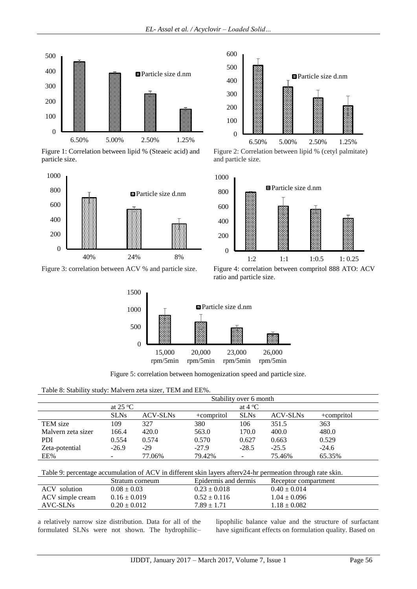

Figure 1: Correlation between lipid % (Steaeic acid) and particle size.



Figure 3: correlation between ACV % and particle size. Figure 4: correlation between compritol 888 ATO: ACV



Figure 2: Correlation between lipid % (cetyl palmitate) and particle size.







Figure 5: correlation between homogenization speed and particle size.

Table 8: Stability study: Malvern zeta sizer, TEM and EE%.

|                    | Stability over 6 month |                 |            |                 |                 |            |  |
|--------------------|------------------------|-----------------|------------|-----------------|-----------------|------------|--|
|                    | at $25^{\circ}$ C      |                 |            | at $4^{\circ}C$ |                 |            |  |
|                    | <b>SLNs</b>            | <b>ACV-SLNs</b> | +compritol | <b>SLNs</b>     | <b>ACV-SLNs</b> | +compritol |  |
| TEM size           | 109                    | 327             | 380        | 106             | 351.5           | 363        |  |
| Malvern zeta sizer | 166.4                  | 420.0           | 563.0      | 170.0           | 400.0           | 480.0      |  |
| PDI                | 0.554                  | 0.574           | 0.570      | 0.627           | 0.663           | 0.529      |  |
| Zeta-potential     | $-26.9$                | $-29$           | $-27.9$    | $-28.5$         | $-25.5$         | $-24.6$    |  |
| EE%                |                        | 77.06%          | 79.42%     |                 | 75.46%          | 65.35%     |  |

Table 9: percentage accumulation of ACV in different skin layers afterv24-hr permeation through rate skin.

|                  | Stratum corneum  | Epidermis and dermis | Receptor compartment |
|------------------|------------------|----------------------|----------------------|
| ACV<br>solution  | $0.08 \pm 0.03$  | $0.23 \pm 0.018$     | $0.40 \pm 0.014$     |
| ACV simple cream | $0.16 \pm 0.019$ | $0.52 \pm 0.116$     | $1.04 \pm 0.096$     |
| AVC-SLNs         | $0.20 \pm 0.012$ | $7.89 \pm 1.71$      | $1.18 \pm 0.082$     |

a relatively narrow size distribution. Data for all of the formulated SLNs were not shown. The hydrophilic–

lipophilic balance value and the structure of surfactant have significant effects on formulation quality. Based on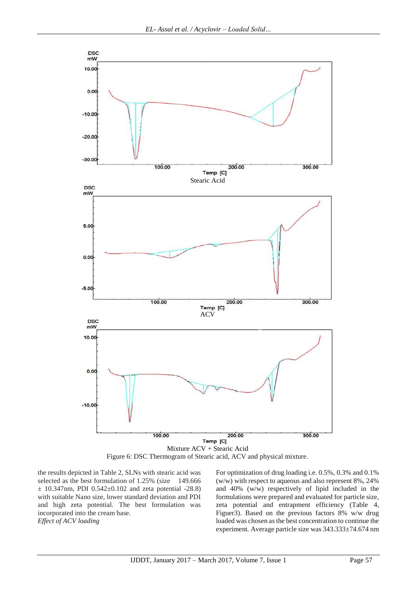

Figure 6: DSC Thermogram of Stearic acid, ACV and physical mixture.

the results depicted in Table 2, SLNs with stearic acid was selected as the best formulation of 1.25% (size 149.666)  $\pm$  10.347nm, PDI 0.542 $\pm$ 0.102 and zeta potential -28.8) with suitable Nano size, lower standard deviation and PDI and high zeta potential. The best formulation was incorporated into the cream base. *Effect of ACV loading*

For optimization of drug loading i.e. 0.5%, 0.3% and 0.1% (w/w) with respect to aqueous and also represent 8%, 24% and 40% (w/w) respectively of lipid included in the formulations were prepared and evaluated for particle size, zeta potential and entrapment efficiency (Table 4, Figuer3). Based on the previous factors 8% w/w drug loaded was chosen as the best concentration to continue the experiment. Average particle size was 343.333±74.674 nm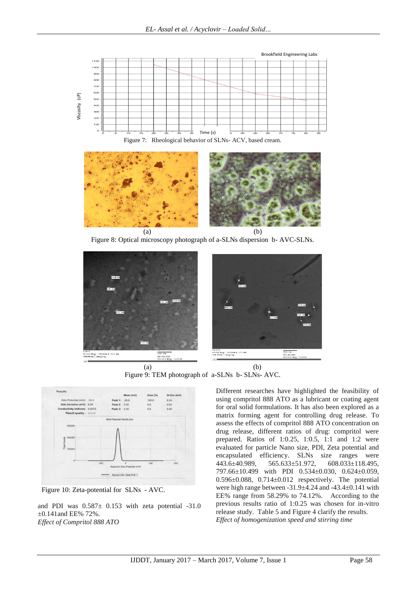





Figure 8: Optical microscopy photograph of a-SLNs dispersion b- AVC-SLNs.



Figure 9: TEM photograph of a-SLNs b- SLNs- AVC.



Figure 10: Zeta-potential for SLNs - AVC.

and PDI was 0.587± 0.153 with zeta potential -31.0 ±0.141and EE% 72%. *Effect of Compritol 888 ATO*

Different researches have highlighted the feasibility of using compritol 888 ATO as a lubricant or coating agent for oral solid formulations. It has also been explored as a matrix forming agent for controlling drug release. To assess the effects of compritol 888 ATO concentration on drug release, different ratios of drug: compritol were prepared. Ratios of 1:0.25, 1:0.5, 1:1 and 1:2 were evaluated for particle Nano size, PDI, Zeta potential and encapsulated efficiency. SLNs size ranges were 443.6±40.989, 565.633±51.972, 608.033±118.495, 797.66±10.499 with PDI 0.534±0.030, 0.624±0.059,  $0.596\pm0.088$ ,  $0.714\pm0.012$  respectively. The potential were high range between -31.9±4.24 and -43.4±0.141 with EE% range from 58.29% to 74.12%. According to the previous results ratio of 1:0.25 was chosen for in-vitro release study.Table 5 and Figure 4 clarify the results. *Effect of homogenization speed and stirring time*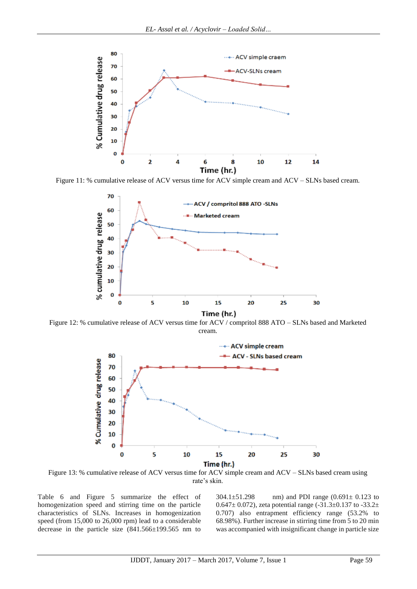

Figure 11: % cumulative release of ACV versus time for ACV simple cream and ACV – SLNs based cream.



Figure 12: % cumulative release of ACV versus time for ACV / compritol 888 ATO – SLNs based and Marketed cream.



Figure 13: % cumulative release of ACV versus time for ACV simple cream and ACV – SLNs based cream using rate's skin.

Table 6 and Figure 5 summarize the effect of homogenization speed and stirring time on the particle characteristics of SLNs. Increases in homogenization speed (from 15,000 to 26,000 rpm) lead to a considerable decrease in the particle size (841.566±199.565 nm to 304.1 $\pm$ 51.298 nm) and PDI range (0.691 $\pm$  0.123 to 0.647 $\pm$  0.072), zeta potential range (-31.3 $\pm$ 0.137 to -33.2 $\pm$ 0.707) also entrapment efficiency range (53.2% to 68.98%). Further increase in stirring time from 5 to 20 min was accompanied with insignificant change in particle size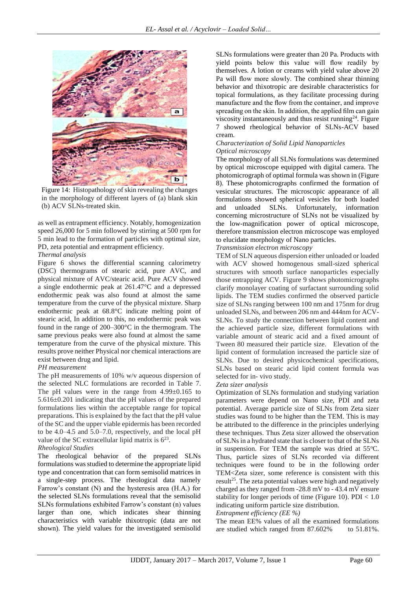

Figure 14: Histopathology of skin revealing the changes in the morphology of different layers of (a) blank skin (b) ACV SLNs-treated skin.

as well as entrapment efficiency. Notably, homogenization speed 26,000 for 5 min followed by stirring at 500 rpm for 5 min lead to the formation of particles with optimal size, PD, zeta potential and entrapment efficiency.

#### *Thermal analysis*

Figure 6 shows the differential scanning calorimetry (DSC) thermograms of stearic acid, pure AVC, and physical mixture of AVC/stearic acid. Pure ACV showed a single endothermic peak at 261.47°C and a depressed endothermic peak was also found at almost the same temperature from the curve of the physical mixture. Sharp endothermic peak at 68.8°C indicate melting point of stearic acid, In addition to this, no endothermic peak was found in the range of 200–300°C in the thermogram. The same previous peaks were also found at almost the same temperature from the curve of the physical mixture. This results prove neither Physical nor chemical interactions are exist between drug and lipid.

#### *PH measurement*

The pH measurements of 10% w/v aqueous dispersion of the selected NLC formulations are recorded in Table 7. The pH values were in the range from  $4.99\pm0.165$  to 5.616±0.201 indicating that the pH values of the prepared formulations lies within the acceptable range for topical preparations. This is explained by the fact that the pH value of the SC and the upper viable epidermis has been recorded to be 4.0–4.5 and 5.0–7.0, respectively, and the local pH value of the SC extracellular lipid matrix is  $6^{23}$ .

#### *Rheological Studies*

The rheological behavior of the prepared SLNs formulations was studied to determine the appropriate lipid type and concentration that can form semisolid matrices in a single-step process. The rheological data namely Farrow's constant (N) and the hysteresis area (H.A.) for the selected SLNs formulations reveal that the semisolid SLNs formulations exhibited Farrow's constant (n) values larger than one, which indicates shear thinning characteristics with variable thixotropic (data are not shown). The yield values for the investigated semisolid

SLNs formulations were greater than 20 Pa. Products with yield points below this value will flow readily by themselves. A lotion or creams with yield value above 20 Pa will flow more slowly. The combined shear thinning behavior and thixotropic are desirable characteristics for topical formulations, as they facilitate processing during manufacture and the flow from the container, and improve spreading on the skin. In addition, the applied film can gain viscosity instantaneously and thus resist running<sup>24</sup>. Figure 7 showed rheological behavior of SLNs-ACV based cream.

#### *Characterization of Solid Lipid Nanoparticles Optical microscopy*

The morphology of all SLNs formulations was determined by optical microscope equipped with digital camera. The photomicrograph of optimal formula was shown in (Figure 8). These photomicrographs confirmed the formation of vesicular structures. The microscopic appearance of all formulations showed spherical vesicles for both loaded and unloaded SLNs. Unfortunately, information concerning microstructure of SLNs not be visualized by the low-magnification power of optical microscope, therefore transmission electron microscope was employed to elucidate morphology of Nano particles.

#### *Transmission electron microscopy*

TEM of SLN aqueous dispersion either unloaded or loaded with ACV showed homogenous small-sized spherical structures with smooth surface nanoparticles especially those entrapping ACV. Figure 9 shows photomicrographs clarify monolayer coating of surfactant surrounding solid lipids. The TEM studies confirmed the observed particle size of SLNs ranging between 100 nm and 175nm for drug unloaded SLNs, and between 206 nm and 444nm for ACV-SLNs. To study the connection between lipid content and the achieved particle size, different formulations with variable amount of stearic acid and a fixed amount of Tween 80 measured their particle size. Elevation of the lipid content of formulation increased the particle size of SLNs. Due to desired physicochemical specifications, SLNs based on stearic acid lipid content formula was selected for in- vivo study.

#### *Zeta sizer analysis*

Optimization of SLNs formulation and studying variation parameters were depend on Nano size, PDI and zeta potential. Average particle size of SLNs from Zeta sizer studies was found to be higher than the TEM. This is may be attributed to the difference in the principles underlying these techniques. Thus Zeta sizer allowed the observation of SLNs in a hydrated state that is closer to that of the SLNs in suspension. For TEM the sample was dried at  $55^{\circ}$ C. Thus, particle sizes of SLNs recorded via different techniques were found to be in the following order TEM<Zeta sizer, some reference is consistent with this result<sup>25</sup>. The zeta potential values were high and negatively charged as they ranged from -28.8 mV to - 43.4 mV ensure stability for longer periods of time (Figure 10).  $PDI < 1.0$ indicating uniform particle size distribution.

#### *Entrapment efficiency (EE %)*

The mean EE% values of all the examined formulations are studied which ranged from 87.602% to 51.81%.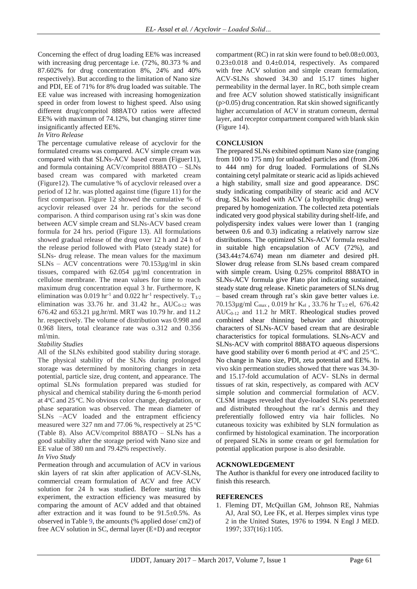Concerning the effect of drug loading EE% was increased with increasing drug percentage i.e. (72%, 80.373 % and 87.602% for drug concentration 8%, 24% and 40% respectively). But according to the limitation of Nano size and PDI, EE of 71% for 8% drug loaded was suitable. The EE value was increased with increasing homogenization speed in order from lowest to highest speed. Also using different drug/compritol 888ATO ratios were affected EE% with maximum of 74.12%, but changing stirrer time insignificantly affected EE%.

#### *In Vitro Release*

The percentage cumulative release of acyclovir for the formulated creams was compared. ACV simple cream was compared with that SLNs-ACV based cream (Figuer11), and formula containing ACV/compritol 888ATO – SLNs based cream was compared with marketed cream (Figure12). The cumulative % of acyclovir released over a period of 12 hr. was plotted against time (figure 11) for the first comparison. Figure 12 showed the cumulative % of acyclovir released over 24 hr. periods for the second comparison. A third comparison using rat's skin was done between ACV simple cream and SLNs-ACV based cream formula for 24 hrs. period (Figure 13). All formulations showed gradual release of the drug over 12 h and 24 h of the release period followed with Plato (steady state) for SLNs- drug release. The mean values for the maximum SLNs – ACV concentrations were 70.153µg/ml in skin tissues, compared with 62.054 µg/ml concentration in cellulose membrane. The mean values for time to reach maximum drug concentration equal 3 hr. Furthermore, K elimination was 0.019 hr<sup>-1</sup> and 0.022 hr<sup>-1</sup> respectively.  $T_{1/2}$ elimination was  $33.76$  hr. and  $31.42$  hr.,  $AUC_{0-12}$  was 676.42 and 653.21 µg.hr/ml. MRT was 10.79 hr. and 11.2 hr. respectively. The volume of distribution was 0.998 and 0.968 liters, total clearance rate was o.312 and 0.356 ml/min.

## *Stability Studies*

All of the SLNs exhibited good stability during storage. The physical stability of the SLNs during prolonged storage was determined by monitoring changes in zeta potential, particle size, drug content, and appearance. The optimal SLNs formulation prepared was studied for physical and chemical stability during the 6-month period at 4<sup>o</sup>C and 25 <sup>o</sup>C. No obvious color change, degradation, or phase separation was observed. The mean diameter of SLNs –ACV loaded and the entrapment efficiency measured were 327 nm and 77.06 %, respectively at 25 °C (Table 8). Also ACV/compritol 888ATO – SLNs has a good stability after the storage period with Nano size and EE value of 380 nm and 79.42% respectively.

#### *In Vivo Study*

Permeation through and accumulation of ACV in various skin layers of rat skin after application of ACV-SLNs, commercial cream formulation of ACV and free ACV solution for 24 h was studied. Before starting this experiment, the extraction efficiency was measured by comparing the amount of ACV added and that obtained after extraction and it was found to be  $91.5\pm0.5\%$ . As observed in Table 9, the amounts (% applied dose/ cm2) of free ACV solution in SC, dermal layer (E+D) and receptor

compartment (RC) in rat skin were found to be0.08±0.003,  $0.23\pm0.018$  and  $0.4\pm0.014$ , respectively. As compared with free ACV solution and simple cream formulation, ACV-SLNs showed 34.30 and 15.17 times higher permeability in the dermal layer. In RC, both simple cream and free ACV solution showed statistically insignificant (p>0.05) drug concentration. Rat skin showed significantly higher accumulation of ACV in stratum corneum, dermal layer, and receptor compartment compared with blank skin (Figure 14).

#### **CONCLUSION**

The prepared SLNs exhibited optimum Nano size (ranging from 100 to 175 nm) for unloaded particles and (from 206 to 444 nm) for drug loaded. Formulations of SLNs containing cetyl palmitate or stearic acid as lipids achieved a high stability, small size and good appearance. DSC study indicating compatibility of stearic acid and ACV drug. SLNs loaded with ACV (a hydrophilic drug) were prepared by homogenization. The collected zeta potentials indicated very good physical stability during shelf-life, and polydispersity index values were lower than 1 (ranging between 0.6 and 0.3) indicating a relatively narrow size distributions. The optimized SLNs-ACV formula resulted in suitable high encapsulation of ACV (72%), and (343.44±74.674) mean nm diameter and desired pH. Slower drug release from SLNs based cream compared with simple cream. Using 0.25% compritol 888ATO in SLNs-ACV formula give Plato plot indicating sustained, steady state drug release. Kinetic parameters of SLNs drug – based cream through rat's skin gave better values i.e. 70.153 $\mu$ g/ml C<sub>max</sub>, 0.019 hr K<sub>el</sub>, 33.76 hr T<sub>1/2</sub> el, 676.42 AUC0-12 and 11.2 hr MRT. Rheological studies proved combined shear thinning behavior and thixotropic characters of SLNs-ACV based cream that are desirable characteristics for topical formulations. SLNs-ACV and SLNs-ACV with compritol 888ATO aqueous dispersions have good stability over 6 month period at  $4^{\circ}$ C and  $25^{\circ}$ C. No change in Nano size, PDI, zeta potential and EE%. In vivo skin permeation studies showed that there was 34.30 and 15.17-fold accumulation of ACV- SLNs in dermal tissues of rat skin, respectively, as compared with ACV simple solution and commercial formulation of ACV. CLSM images revealed that dye-loaded SLNs penetrated and distributed throughout the rat's dermis and they preferentially followed entry via hair follicles. No cutaneous toxicity was exhibited by SLN formulation as confirmed by histological examination. The incorporation of prepared SLNs in some cream or gel formulation for potential application purpose is also desirable.

#### **ACKNOWLEDGEMENT**

The Author is thankful for every one introduced facility to finish this research.

#### **REFERENCES**

1. Fleming DT, McQuillan GM, Johnson RE, Nahmias AJ, Aral SO, Lee FK, et al. Herpes simplex virus type 2 in the United States, 1976 to 1994. N Engl J MED. 1997; 337(16):1105.